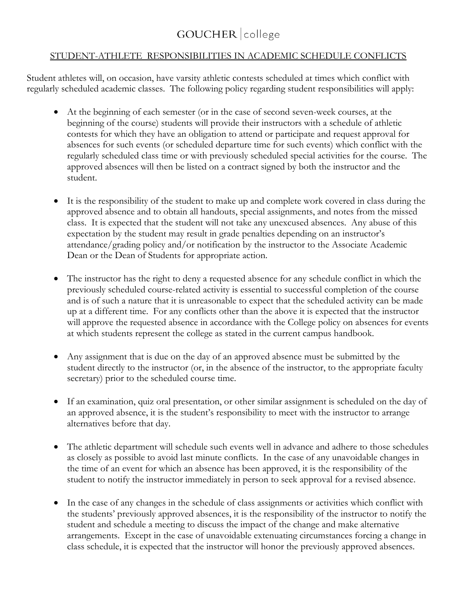## GOUCHER college

## STUDENT-ATHLETE RESPONSIBILITIES IN ACADEMIC SCHEDULE CONFLICTS

Student athletes will, on occasion, have varsity athletic contests scheduled at times which conflict with regularly scheduled academic classes. The following policy regarding student responsibilities will apply:

- At the beginning of each semester (or in the case of second seven-week courses, at the beginning of the course) students will provide their instructors with a schedule of athletic contests for which they have an obligation to attend or participate and request approval for absences for such events (or scheduled departure time for such events) which conflict with the regularly scheduled class time or with previously scheduled special activities for the course. The approved absences will then be listed on a contract signed by both the instructor and the student.
- It is the responsibility of the student to make up and complete work covered in class during the approved absence and to obtain all handouts, special assignments, and notes from the missed class. It is expected that the student will not take any unexcused absences. Any abuse of this expectation by the student may result in grade penalties depending on an instructor's attendance/grading policy and/or notification by the instructor to the Associate Academic Dean or the Dean of Students for appropriate action.
- The instructor has the right to deny a requested absence for any schedule conflict in which the previously scheduled course-related activity is essential to successful completion of the course and is of such a nature that it is unreasonable to expect that the scheduled activity can be made up at a different time. For any conflicts other than the above it is expected that the instructor will approve the requested absence in accordance with the College policy on absences for events at which students represent the college as stated in the current campus handbook.
- Any assignment that is due on the day of an approved absence must be submitted by the student directly to the instructor (or, in the absence of the instructor, to the appropriate faculty secretary) prior to the scheduled course time.
- If an examination, quiz oral presentation, or other similar assignment is scheduled on the day of an approved absence, it is the student's responsibility to meet with the instructor to arrange alternatives before that day.
- The athletic department will schedule such events well in advance and adhere to those schedules as closely as possible to avoid last minute conflicts. In the case of any unavoidable changes in the time of an event for which an absence has been approved, it is the responsibility of the student to notify the instructor immediately in person to seek approval for a revised absence.
- In the case of any changes in the schedule of class assignments or activities which conflict with the students' previously approved absences, it is the responsibility of the instructor to notify the student and schedule a meeting to discuss the impact of the change and make alternative arrangements. Except in the case of unavoidable extenuating circumstances forcing a change in class schedule, it is expected that the instructor will honor the previously approved absences.